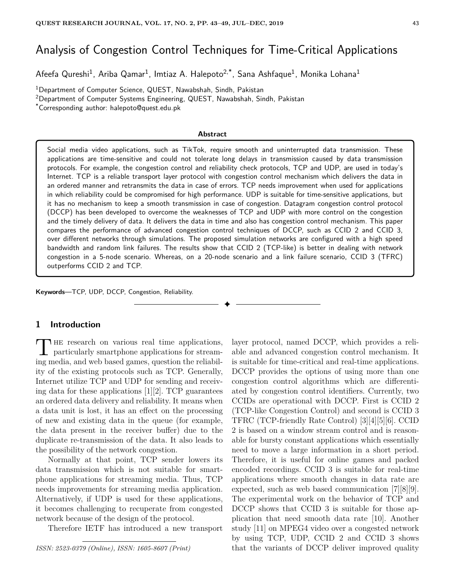# Analysis of Congestion Control Techniques for Time-Critical Applications

Afeefa Qureshi $^1$ , Ariba Qamar $^1$ , Imtiaz A. Halepoto $^{2, \ast}$ , Sana Ashfaque $^1$ , Monika Lohana $^1$ 

<sup>1</sup>Department of Computer Science, QUEST, Nawabshah, Sindh, Pakistan

<sup>2</sup>Department of Computer Systems Engineering, QUEST, Nawabshah, Sindh, Pakistan

\*Corresponding author: halepoto@quest.edu.pk

#### **Abstract**

Social media video applications, such as TikTok, require smooth and uninterrupted data transmission. These applications are time-sensitive and could not tolerate long delays in transmission caused by data transmission protocols. For example, the congestion control and reliability check protocols, TCP and UDP, are used in today's Internet. TCP is a reliable transport layer protocol with congestion control mechanism which delivers the data in an ordered manner and retransmits the data in case of errors. TCP needs improvement when used for applications in which reliability could be compromised for high performance. UDP is suitable for time-sensitive applications, but it has no mechanism to keep a smooth transmission in case of congestion. Datagram congestion control protocol (DCCP) has been developed to overcome the weaknesses of TCP and UDP with more control on the congestion and the timely delivery of data. It delivers the data in time and also has congestion control mechanism. This paper compares the performance of advanced congestion control techniques of DCCP, such as CCID 2 and CCID 3, over different networks through simulations. The proposed simulation networks are configured with a high speed bandwidth and random link failures. The results show that CCID 2 (TCP-like) is better in dealing with network congestion in a 5-node scenario. Whereas, on a 20-node scenario and a link failure scenario, CCID 3 (TFRC) outperforms CCID 2 and TCP.

✦

**Keywords**—TCP, UDP, DCCP, Congestion, Reliability.

## **1 Introduction**

THE research on various real time applications,<br>particularly smartphone applications for stream-**HE** research on various real time applications, ing media, and web based games, question the reliability of the existing protocols such as TCP. Generally, Internet utilize TCP and UDP for sending and receiving data for these applications  $[1][2]$ . TCP guarantees an ordered data delivery and reliability. It means when a data unit is lost, it has an effect on the processing of new and existing data in the queue (for example, the data present in the receiver buffer) due to the duplicate re-transmission of the data. It also leads to the possibility of the network congestion.

Normally at that point, TCP sender lowers its data transmission which is not suitable for smartphone applications for streaming media. Thus, TCP needs improvements for streaming media application. Alternatively, if UDP is used for these applications, it becomes challenging to recuperate from congested network because of the design of the protocol.

Therefore IETF has introduced a new transport

*ISSN: 2523-0379 (Online), ISSN: 1605-8607 (Print)*

layer protocol, named DCCP, which provides a reliable and advanced congestion control mechanism. It is suitable for time-critical and real-time applications. DCCP provides the options of using more than one congestion control algorithms which are differentiated by congestion control identifiers. Currently, two CCIDs are operational with DCCP. First is CCID 2 (TCP-like Congestion Control) and second is CCID 3 TFRC (TCP-friendly Rate Control) [3][4][5][6]. CCID 2 is based on a window stream control and is reasonable for bursty constant applications which essentially need to move a large information in a short period. Therefore, it is useful for online games and packed encoded recordings. CCID 3 is suitable for real-time applications where smooth changes in data rate are expected, such as web based communication [7][8][9]. The experimental work on the behavior of TCP and DCCP shows that CCID 3 is suitable for those application that need smooth data rate [10]. Another study [11] on MPEG4 video over a congested network by using TCP, UDP, CCID 2 and CCID 3 shows that the variants of DCCP deliver improved quality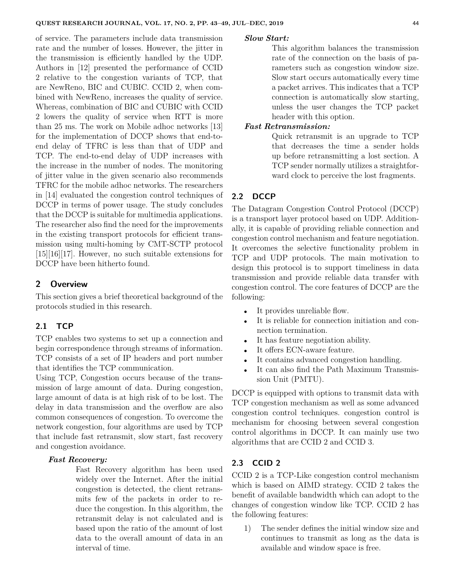of service. The parameters include data transmission rate and the number of losses. However, the jitter in the transmission is efficiently handled by the UDP. Authors in [12] presented the performance of CCID 2 relative to the congestion variants of TCP, that are NewReno, BIC and CUBIC. CCID 2, when combined with NewReno, increases the quality of service. Whereas, combination of BIC and CUBIC with CCID 2 lowers the quality of service when RTT is more than 25 ms. The work on Mobile adhoc networks [13] for the implementation of DCCP shows that end-toend delay of TFRC is less than that of UDP and TCP. The end-to-end delay of UDP increases with the increase in the number of nodes. The monitoring of jitter value in the given scenario also recommends TFRC for the mobile adhoc networks. The researchers in [14] evaluated the congestion control techniques of DCCP in terms of power usage. The study concludes that the DCCP is suitable for multimedia applications. The researcher also find the need for the improvements in the existing transport protocols for efficient transmission using multi-homing by CMT-SCTP protocol [15][16][17]. However, no such suitable extensions for DCCP have been hitherto found.

## **2 Overview**

This section gives a brief theoretical background of the protocols studied in this research.

# **2.1 TCP**

TCP enables two systems to set up a connection and begin correspondence through streams of information. TCP consists of a set of IP headers and port number that identifies the TCP communication.

Using TCP, Congestion occurs because of the transmission of large amount of data. During congestion, large amount of data is at high risk of to be lost. The delay in data transmission and the overflow are also common consequences of congestion. To overcome the network congestion, four algorithms are used by TCP that include fast retransmit, slow start, fast recovery and congestion avoidance.

#### *Fast Recovery:*

Fast Recovery algorithm has been used widely over the Internet. After the initial congestion is detected, the client retransmits few of the packets in order to reduce the congestion. In this algorithm, the retransmit delay is not calculated and is based upon the ratio of the amount of lost data to the overall amount of data in an interval of time.

## *Slow Start:*

This algorithm balances the transmission rate of the connection on the basis of parameters such as congestion window size. Slow start occurs automatically every time a packet arrives. This indicates that a TCP connection is automatically slow starting, unless the user changes the TCP packet header with this option.

## *Fast Retransmission:*

Quick retransmit is an upgrade to TCP that decreases the time a sender holds up before retransmitting a lost section. A TCP sender normally utilizes a straightforward clock to perceive the lost fragments.

## **2.2 DCCP**

The Datagram Congestion Control Protocol (DCCP) is a transport layer protocol based on UDP. Additionally, it is capable of providing reliable connection and congestion control mechanism and feature negotiation. It overcomes the selective functionality problem in TCP and UDP protocols. The main motivation to design this protocol is to support timeliness in data transmission and provide reliable data transfer with congestion control. The core features of DCCP are the following:

- It provides unreliable flow.
- It is reliable for connection initiation and connection termination.
- It has feature negotiation ability.
- It offers ECN-aware feature.
- It contains advanced congestion handling.
- It can also find the Path Maximum Transmission Unit (PMTU).

DCCP is equipped with options to transmit data with TCP congestion mechanism as well as some advanced congestion control techniques. congestion control is mechanism for choosing between several congestion control algorithms in DCCP. It can mainly use two algorithms that are CCID 2 and CCID 3.

## **2.3 CCID 2**

CCID 2 is a TCP-Like congestion control mechanism which is based on AIMD strategy. CCID 2 takes the benefit of available bandwidth which can adopt to the changes of congestion window like TCP. CCID 2 has the following features:

1) The sender defines the initial window size and continues to transmit as long as the data is available and window space is free.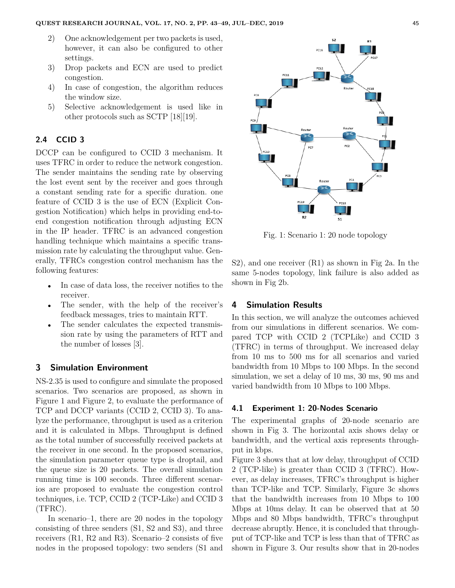- 2) One acknowledgement per two packets is used, however, it can also be configured to other settings.
- 3) Drop packets and ECN are used to predict congestion.
- 4) In case of congestion, the algorithm reduces the window size.
- 5) Selective acknowledgement is used like in other protocols such as SCTP [18][19].

## **2.4 CCID 3**

DCCP can be configured to CCID 3 mechanism. It uses TFRC in order to reduce the network congestion. The sender maintains the sending rate by observing the lost event sent by the receiver and goes through a constant sending rate for a specific duration. one feature of CCID 3 is the use of ECN (Explicit Congestion Notification) which helps in providing end-toend congestion notification through adjusting ECN in the IP header. TFRC is an advanced congestion handling technique which maintains a specific transmission rate by calculating the throughput value. Generally, TFRCs congestion control mechanism has the following features:

- In case of data loss, the receiver notifies to the receiver.
- The sender, with the help of the receiver's feedback messages, tries to maintain RTT.
- The sender calculates the expected transmission rate by using the parameters of RTT and the number of losses [3].

## **3 Simulation Environment**

NS-2.35 is used to configure and simulate the proposed scenarios. Two scenarios are proposed, as shown in Figure 1 and Figure 2, to evaluate the performance of TCP and DCCP variants (CCID 2, CCID 3). To analyze the performance, throughput is used as a criterion and it is calculated in Mbps. Throughput is defined as the total number of successfully received packets at the receiver in one second. In the proposed scenarios, the simulation parameter queue type is droptail, and the queue size is 20 packets. The overall simulation running time is 100 seconds. Three different scenarios are proposed to evaluate the congestion control techniques, i.e. TCP, CCID 2 (TCP-Like) and CCID 3 (TFRC).

In scenario–1, there are 20 nodes in the topology consisting of three senders (S1, S2 and S3), and three receivers (R1, R2 and R3). Scenario–2 consists of five nodes in the proposed topology: two senders (S1 and



Fig. 1: Scenario 1: 20 node topology

S2), and one receiver (R1) as shown in Fig 2a. In the same 5-nodes topology, link failure is also added as shown in Fig 2b.

#### **4 Simulation Results**

In this section, we will analyze the outcomes achieved from our simulations in different scenarios. We compared TCP with CCID 2 (TCPLike) and CCID 3 (TFRC) in terms of throughput. We increased delay from 10 ms to 500 ms for all scenarios and varied bandwidth from 10 Mbps to 100 Mbps. In the second simulation, we set a delay of 10 ms, 30 ms, 90 ms and varied bandwidth from 10 Mbps to 100 Mbps.

## **4.1 Experiment 1: 20-Nodes Scenario**

The experimental graphs of 20-node scenario are shown in Fig 3. The horizontal axis shows delay or bandwidth, and the vertical axis represents throughput in kbps.

Figure 3 shows that at low delay, throughput of CCID 2 (TCP-like) is greater than CCID 3 (TFRC). However, as delay increases, TFRC's throughput is higher than TCP-like and TCP. Similarly, Figure 3c shows that the bandwidth increases from 10 Mbps to 100 Mbps at 10ms delay. It can be observed that at 50 Mbps and 80 Mbps bandwidth, TFRC's throughput decrease abruptly. Hence, it is concluded that throughput of TCP-like and TCP is less than that of TFRC as shown in Figure 3. Our results show that in 20-nodes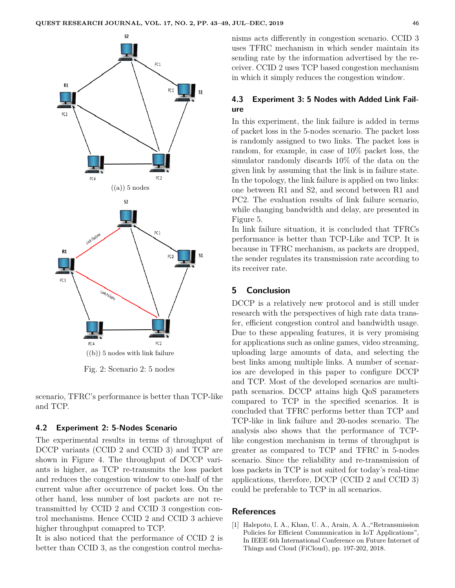

Fig. 2: Scenario 2: 5 nodes

scenario, TFRC's performance is better than TCP-like and TCP.

#### **4.2 Experiment 2: 5-Nodes Scenario**

The experimental results in terms of throughput of DCCP variants (CCID 2 and CCID 3) and TCP are shown in Figure 4. The throughput of DCCP variants is higher, as TCP re-transmits the loss packet and reduces the congestion window to one-half of the current value after occurrence of packet loss. On the other hand, less number of lost packets are not retransmitted by CCID 2 and CCID 3 congestion control mechanisms. Hence CCID 2 and CCID 3 achieve higher throughput comapred to TCP.

It is also noticed that the performance of CCID 2 is better than CCID 3, as the congestion control mechanisms acts differently in congestion scenario. CCID 3 uses TFRC mechanism in which sender maintain its sending rate by the information advertised by the receiver. CCID 2 uses TCP based congestion mechanism in which it simply reduces the congestion window.

## **4.3 Experiment 3: 5 Nodes with Added Link Failure**

In this experiment, the link failure is added in terms of packet loss in the 5-nodes scenario. The packet loss is randomly assigned to two links. The packet loss is random, for example, in case of 10% packet loss, the simulator randomly discards 10% of the data on the given link by assuming that the link is in failure state. In the topology, the link failure is applied on two links: one between R1 and S2, and second between R1 and PC2. The evaluation results of link failure scenario, while changing bandwidth and delay, are presented in Figure 5.

In link failure situation, it is concluded that TFRCs performance is better than TCP-Like and TCP. It is because in TFRC mechanism, as packets are dropped, the sender regulates its transmission rate according to its receiver rate.

## **5 Conclusion**

DCCP is a relatively new protocol and is still under research with the perspectives of high rate data transfer, efficient congestion control and bandwidth usage. Due to these appealing features, it is very promising for applications such as online games, video streaming, uploading large amounts of data, and selecting the best links among multiple links. A number of scenarios are developed in this paper to configure DCCP and TCP. Most of the developed scenarios are multipath scenarios. DCCP attains high QoS parameters compared to TCP in the specified scenarios. It is concluded that TFRC performs better than TCP and TCP-like in link failure and 20-nodes scenario. The analysis also shows that the performance of TCPlike congestion mechanism in terms of throughput is greater as compared to TCP and TFRC in 5-nodes scenario. Since the reliability and re-transmission of loss packets in TCP is not suited for today's real-time applications, therefore, DCCP (CCID 2 and CCID 3) could be preferable to TCP in all scenarios.

#### **References**

[1] Halepoto, I. A., Khan, U. A., Arain, A. A.,"Retransmission Policies for Efficient Communication in IoT Applications", In IEEE 6th International Conference on Future Internet of Things and Cloud (FiCloud), pp. 197-202, 2018.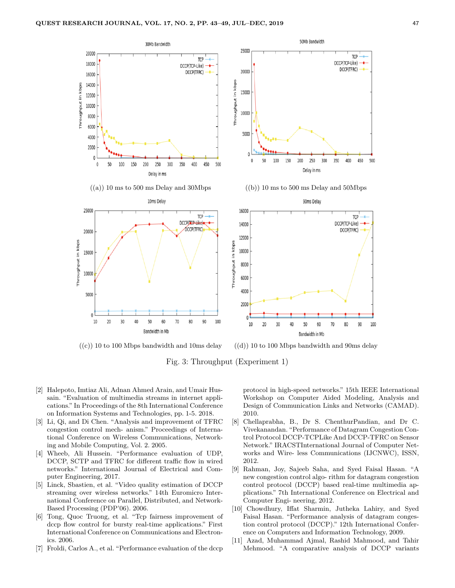

 $((c))$  10 to 100 Mbps bandwidth and 10ms delay  $((d))$  10 to 100 Mbps bandwidth and 90ms delay

Fig. 3: Throughput (Experiment 1)

- [2] Halepoto, Imtiaz Ali, Adnan Ahmed Arain, and Umair Hussain. "Evaluation of multimedia streams in internet applications." In Proceedings of the 8th International Conference on Information Systems and Technologies, pp. 1-5. 2018.
- [3] Li, Qi, and Di Chen. "Analysis and improvement of TFRC congestion control mech- anism." Proceedings of International Conference on Wireless Communications, Networking and Mobile Computing, Vol. 2. 2005.
- [4] Wheeb, Ali Hussein. "Performance evaluation of UDP, DCCP, SCTP and TFRC for different traffic flow in wired networks." International Journal of Electrical and Computer Engineering, 2017.
- [5] Linck, Sbastien, et al. "Video quality estimation of DCCP streaming over wireless networks." 14th Euromicro International Conference on Parallel, Distributed, and Network-Based Processing (PDP'06). 2006.
- [6] Tong, Quoc Truong, et al. "Tcp fairness improvement of dccp flow control for bursty real-time applications." First International Conference on Communications and Electronics. 2006.
- [7] Froldi, Carlos A., et al. "Performance evaluation of the dccp

protocol in high-speed networks." 15th IEEE International Workshop on Computer Aided Modeling, Analysis and Design of Communication Links and Networks (CAMAD). 2010.

- [8] Chellaprabha, B., Dr S. ChenthurPandian, and Dr C. Vivekanandan. "Performance of Datagram Congestion Control Protocol DCCP-TCPLike And DCCP-TFRC on Sensor Network." IRACSTInternational Journal of Computer Networks and Wire- less Communications (IJCNWC), ISSN, 2012.
- [9] Rahman, Joy, Sajeeb Saha, and Syed Faisal Hasan. "A new congestion control algo- rithm for datagram congestion control protocol (DCCP) based real-time multimedia applications." 7th International Conference on Electrical and Computer Engi- neering, 2012.
- [10] Chowdhury, Iffat Sharmin, Jutheka Lahiry, and Syed Faisal Hasan. "Performance analysis of datagram congestion control protocol (DCCP)." 12th International Conference on Computers and Information Technology, 2009.
- [11] Azad, Muhammad Ajmal, Rashid Mahmood, and Tahir Mehmood. "A comparative analysis of DCCP variants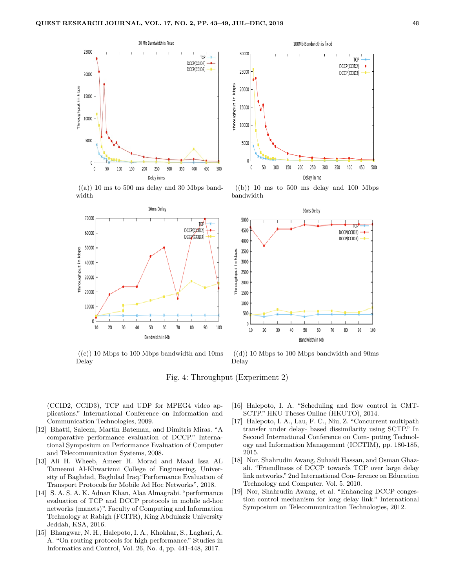

30000 **TCP** DCCP(CCID2) 25000 DCCP(CCID3) Throughput in kbps 20000 15000 10000 5000 100 150 50 200 250 300 350 400 450 500 0 Delay in ms

100Mb Bandwidth is fixed

 $((a))$  10 ms to 500 ms delay and 30 Mbps bandwidth



 $((b))$  10 ms to 500 ms delay and 100 Mbps bandwidth



 $((c))$  10 Mbps to 100 Mbps bandwidth and 10ms Delay

 $((d))$  10 Mbps to 100 Mbps bandwidth and 90ms Delay

Fig. 4: Throughput (Experiment 2)

(CCID2, CCID3), TCP and UDP for MPEG4 video applications." International Conference on Information and Communication Technologies, 2009.

- [12] Bhatti, Saleem, Martin Bateman, and Dimitris Miras. "A comparative performance evaluation of DCCP." International Symposium on Performance Evaluation of Computer and Telecommunication Systems, 2008.
- [13] Ali H. Wheeb, Ameer H. Morad and Maad Issa AL Tameemi Al-Khwarizmi College of Engineering, University of Baghdad, Baghdad Iraq."Performance Evaluation of Transport Protocols for Mobile Ad Hoc Networks", 2018.
- [14] S. A. S. A. K. Adnan Khan, Alaa Almagrabi. "performance evaluation of TCP and DCCP protocols in mobile ad-hoc networks (manets)". Faculty of Computing and Information Technology at Rabigh (FCITR), King Abdulaziz University Jeddah, KSA, 2016.
- [15] Bhangwar, N. H., Halepoto, I. A., Khokhar, S., Laghari, A. A. "On routing protocols for high performance." Studies in Informatics and Control, Vol. 26, No. 4, pp. 441-448, 2017.

[16] Halepoto, I. A. "Scheduling and flow control in CMT-SCTP." HKU Theses Online (HKUTO), 2014.

- [17] Halepoto, I. A., Lau, F. C., Niu, Z. "Concurrent multipath transfer under delay- based dissimilarity using SCTP." In Second International Conference on Com- puting Technology and Information Management (ICCTIM), pp. 180-185, 2015.
- [18] Nor, Shahrudin Awang, Suhaidi Hassan, and Osman Ghazali. "Friendliness of DCCP towards TCP over large delay link networks." 2nd International Con- ference on Education Technology and Computer. Vol. 5. 2010.
- [19] Nor, Shahrudin Awang, et al. "Enhancing DCCP congestion control mechanism for long delay link." International Symposium on Telecommunication Technologies, 2012.